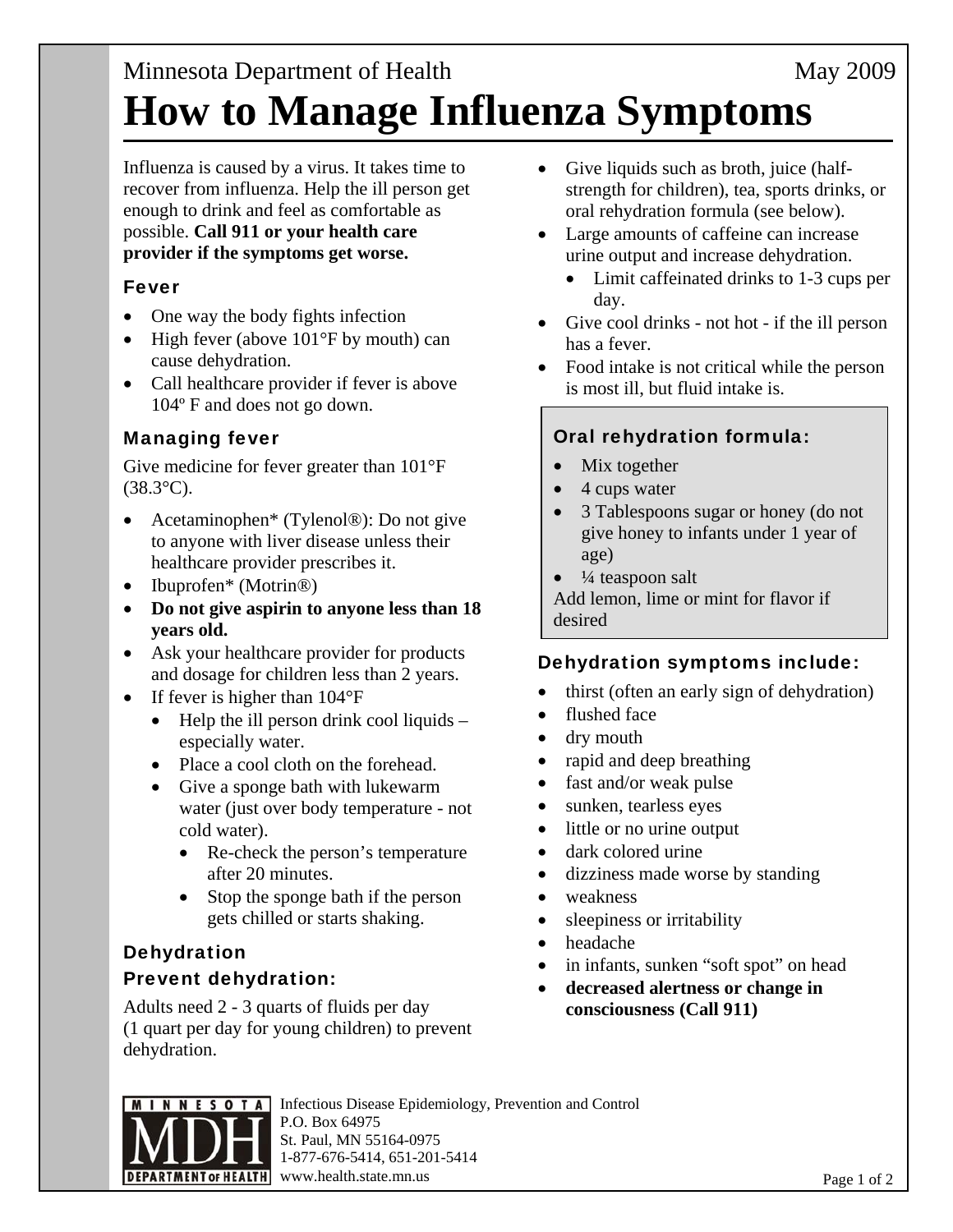# Minnesota Department of Health May 2009 **How to Manage Influenza Symptoms**

Influenza is caused by a virus. It takes time to recover from influenza. Help the ill person get enough to drink and feel as comfortable as possible. **Call 911 or your health care provider if the symptoms get worse.**

## Fever

- One way the body fights infection
- $\bullet$  High fever (above 101°F by mouth) can cause dehydration.
- Call healthcare provider if fever is above 104º F and does not go down.

## Managing fever

Give medicine for fever greater than 101°F  $(38.3^{\circ}C).$ 

- Acetaminophen\* (Tylenol®): Do not give to anyone with liver disease unless their healthcare provider prescribes it.
- Ibuprofen\* (Motrin<sup>®)</sup>
- **Do not give aspirin to anyone less than 18 years old.**
- Ask your healthcare provider for products and dosage for children less than 2 years.
- If fever is higher than  $104^{\circ}F$ 
	- $\bullet$  Help the ill person drink cool liquids especially water.
	- Place a cool cloth on the forehead.
	- Give a sponge bath with lukewarm water (just over body temperature - not cold water).
		- Re-check the person's temperature after 20 minutes.
		- Stop the sponge bath if the person gets chilled or starts shaking.

## Dehydration Prevent dehydration:

Adults need 2 - 3 quarts of fluids per day (1 quart per day for young children) to prevent dehydration.

- Give liquids such as broth, juice (halfstrength for children), tea, sports drinks, or oral rehydration formula (see below).
- Large amounts of caffeine can increase urine output and increase dehydration.
	- Limit caffeinated drinks to 1-3 cups per day.
- Give cool drinks not hot if the ill person has a fever.
- Food intake is not critical while the person is most ill, but fluid intake is.

## Oral rehydration formula:

- Mix together
- 4 cups water
- 3 Tablespoons sugar or honey (do not give honey to infants under 1 year of age)
- ¼ teaspoon salt

Add lemon, lime or mint for flavor if desired

## Dehydration symptoms include:

- thirst (often an early sign of dehydration)
- flushed face
- dry mouth
- rapid and deep breathing
- fast and/or weak pulse
- sunken, tearless eyes
- little or no urine output
- dark colored urine
- dizziness made worse by standing
- weakness
- sleepiness or irritability
- headache
- in infants, sunken "soft spot" on head
- **decreased alertness or change in consciousness (Call 911)**



Infectious Disease Epidemiology, Prevention and Control P.O. Box 64975 St. Paul, MN 55164-0975 1-877-676-5414, 651-201-5414